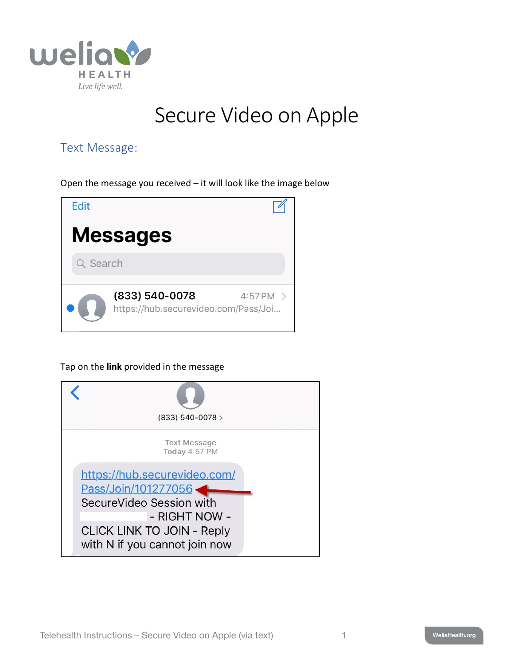

## Secure Video on Apple

## Text Message:

Open the message you received – it will look like the image below



Tap on the **link** provided in the message

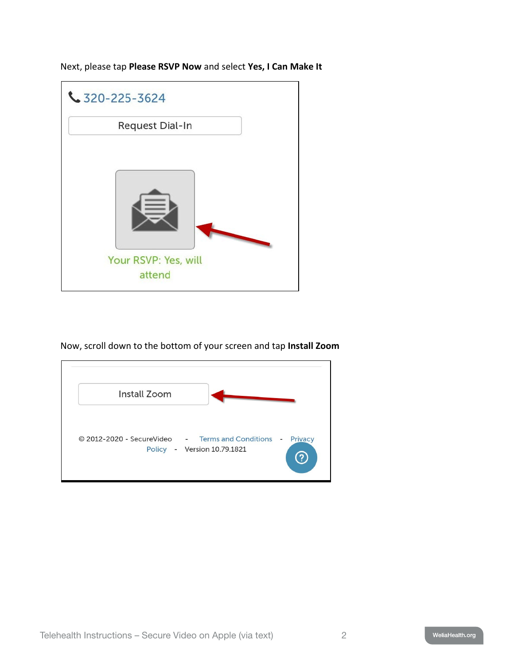Next, please tap **Please RSVP Now** and select **Yes, I Can Make It**



Now, scroll down to the bottom of your screen and tap **Install Zoom**

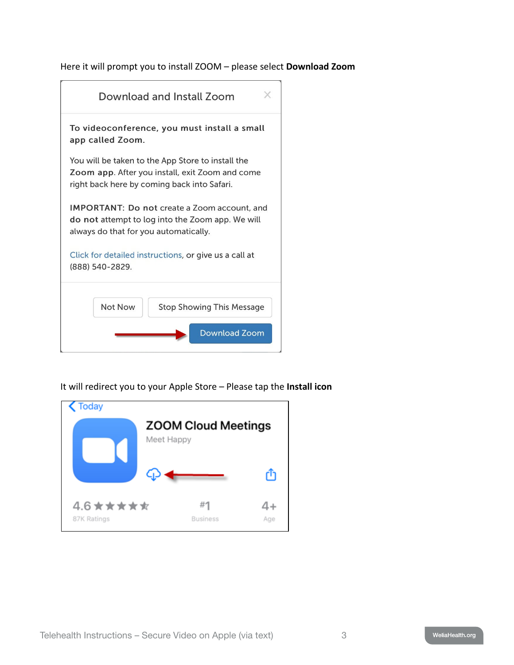Here it will prompt you to install ZOOM – please select **Download Zoom**



It will redirect you to your Apple Store – Please tap the **Install icon**

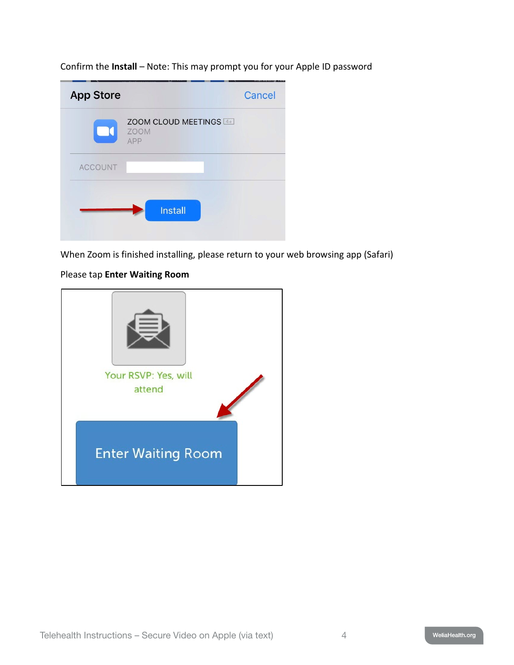Confirm the **Install** – Note: This may prompt you for your Apple ID password

| <b>App Store</b> |                                              | Cancel |
|------------------|----------------------------------------------|--------|
| $\Box$           | ZOOM CLOUD MEETINGS 4+<br><b>ZOOM</b><br>APP |        |
| <b>ACCOUNT</b>   |                                              |        |
|                  | <b>Install</b>                               |        |

When Zoom is finished installing, please return to your web browsing app (Safari)

## Please tap **Enter Waiting Room**

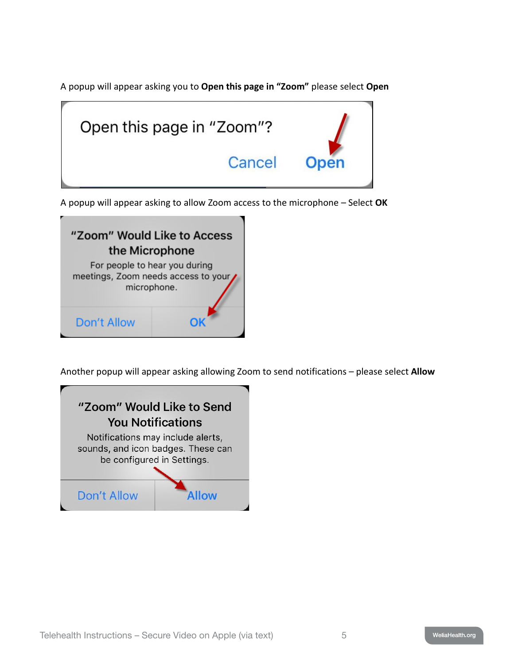A popup will appear asking you to **Open this page in "Zoom"** please select **Open**



A popup will appear asking to allow Zoom access to the microphone – Select **OK**



Another popup will appear asking allowing Zoom to send notifications – please select **Allow**